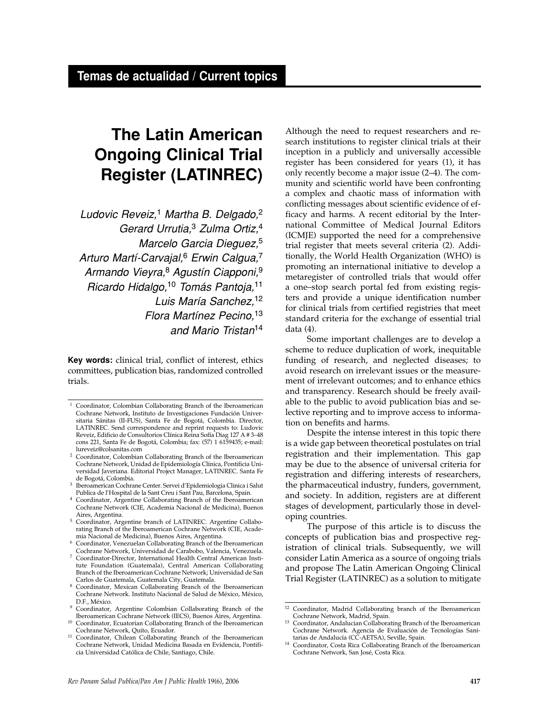# **The Latin American Ongoing Clinical Trial Register (LATINREC)**

Ludovic Reveiz,<sup>1</sup> Martha B. Delgado,<sup>2</sup> Gerard Urrutia,<sup>3</sup> Zulma Ortiz,<sup>4</sup> Marcelo Garcia Dieguez,<sup>5</sup> Arturo Martí-Carvajal,<sup>6</sup> Erwin Calgua,<sup>7</sup> Armando Vieyra,<sup>8</sup> Agustín Ciapponi,<sup>9</sup> Ricardo Hidalgo,<sup>10</sup> Tomás Pantoja,<sup>11</sup> Luis María Sanchez, <sup>12</sup> Flora Martínez Pecino.<sup>13</sup> and Mario Tristan14

**Key words:** clinical trial, conflict of interest, ethics committees, publication bias, randomized controlled trials.

- <sup>2</sup> Coordinator, Colombian Collaborating Branch of the Iberoamerican Cochrane Network, Unidad de Epidemiología Clínica, Pontificia Universidad Javeriana. Editorial Project Manager, LATINREC. Santa Fe de Bogotá, Colombia.
- <sup>3</sup> Iberoamerican Cochrane Center. Servei d'Epidemiologia Clinica i Salut Publica de l'Hospital de la Sant Creu i Sant Pau, Barcelona, Spain.
- <sup>4</sup> Coordinator, Argentine Collaborating Branch of the Iberoamerican Cochrane Network (CIE, Academia Nacional de Medicina), Buenos Aires, Argentina.
- <sup>5</sup> Coordinator, Argentine branch of LATINREC. Argentine Collaborating Branch of the Iberoamerican Cochrane Network (CIE, Academia Nacional de Medicina), Buenos Aires, Argentina.
- $^6\,$  Coordinator, Venezuelan Collaborating Branch of the Iberoamerican Cochrane Network, Universidad de Carabobo, Valencia, Venezuela.
- <sup>7</sup> Coordinator-Director, International Health Central American Institute Foundation (Guatemala), Central American Collaborating Branch of the Iberoamerican Cochrane Network; Universidad de San Carlos de Guatemala, Guatemala City, Guatemala.
- <sup>8</sup> Coordinator, Mexican Collaborating Branch of the Iberoamerican Cochrane Network. Instituto Nacional de Salud de México, México, D.F., México.
- <sup>9</sup> Coordinator, Argentine Colombian Collaborating Branch of the Iberoamerican Cochrane Network (IECS), Buenos Aires, Argentina.
- 10 Coordinator, Ecuatorian Collaborating Branch of the Iberoamerican<br>Cochrane Network, Quito, Ecuador.
- <sup>11</sup> Coordinator, Chilean Collaborating Branch of the Iberoamerican Cochrane Network, Unidad Medicina Basada en Evidencia, Pontificia Universidad Católica de Chile, Santiago, Chile.

Although the need to request researchers and research institutions to register clinical trials at their inception in a publicly and universally accessible register has been considered for years (1), it has only recently become a major issue (2–4). The community and scientific world have been confronting a complex and chaotic mass of information with conflicting messages about scientific evidence of efficacy and harms. A recent editorial by the International Committee of Medical Journal Editors (ICMJE) supported the need for a comprehensive trial register that meets several criteria (2). Additionally, the World Health Organization (WHO) is promoting an international initiative to develop a metaregister of controlled trials that would offer a one–stop search portal fed from existing registers and provide a unique identification number for clinical trials from certified registries that meet standard criteria for the exchange of essential trial data (4).

Some important challenges are to develop a scheme to reduce duplication of work, inequitable funding of research, and neglected diseases; to avoid research on irrelevant issues or the measurement of irrelevant outcomes; and to enhance ethics and transparency. Research should be freely available to the public to avoid publication bias and selective reporting and to improve access to information on benefits and harms.

Despite the intense interest in this topic there is a wide gap between theoretical postulates on trial registration and their implementation. This gap may be due to the absence of universal criteria for registration and differing interests of researchers, the pharmaceutical industry, funders, government, and society. In addition, registers are at different stages of development, particularly those in developing countries.

The purpose of this article is to discuss the concepts of publication bias and prospective registration of clinical trials. Subsequently, we will consider Latin America as a source of ongoing trials and propose The Latin American Ongoing Clinical Trial Register (LATINREC) as a solution to mitigate

<sup>1</sup> Coordinator, Colombian Collaborating Branch of the Iberoamerican Cochrane Network, Instituto de Investigaciones Fundación Universitaria Sánitas (II-FUS), Santa Fe de Bogotá, Colombia. Director, LATINREC. Send correspondence and reprint requests to: Ludovic Reveiz, Edificio de Consultorios Clínica Reina Sofía Diag 127 A # 3–48 cons 221, Santa Fe de Bogotá, Colombia; fax: (57) 1 6159435; e-mail: lureveiz@colsanitas.com

<sup>&</sup>lt;sup>12</sup> Coordinator, Madrid Collaborating branch of the Iberoamerican Cochrane Network, Madrid, Spain.

<sup>&</sup>lt;sup>13</sup> Coordinator, Andalucian Collaborating Branch of the Iberoamerican Cochrane Network. Agencia de Evaluación de Tecnologías Sani-

<sup>&</sup>lt;sup>14</sup> Coordinator, Costa Rica Collaborating Branch of the Iberoamerican Cochrane Network, San José, Costa Rica.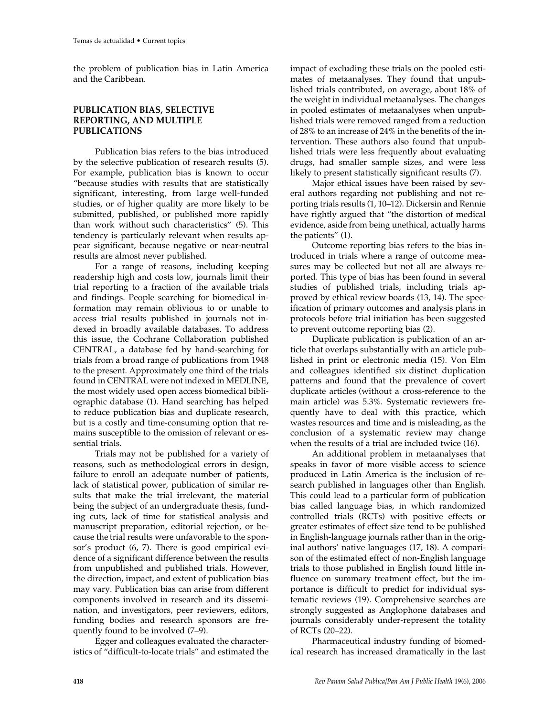the problem of publication bias in Latin America and the Caribbean.

## **PUBLICATION BIAS, SELECTIVE REPORTING, AND MULTIPLE PUBLICATIONS**

Publication bias refers to the bias introduced by the selective publication of research results (5). For example, publication bias is known to occur "because studies with results that are statistically significant, interesting, from large well-funded studies, or of higher quality are more likely to be submitted, published, or published more rapidly than work without such characteristics" (5). This tendency is particularly relevant when results appear significant, because negative or near-neutral results are almost never published.

For a range of reasons, including keeping readership high and costs low, journals limit their trial reporting to a fraction of the available trials and findings. People searching for biomedical information may remain oblivious to or unable to access trial results published in journals not indexed in broadly available databases. To address this issue, the Cochrane Collaboration published CENTRAL, a database fed by hand-searching for trials from a broad range of publications from 1948 to the present. Approximately one third of the trials found in CENTRAL were not indexed in MEDLINE, the most widely used open access biomedical bibliographic database (1). Hand searching has helped to reduce publication bias and duplicate research, but is a costly and time-consuming option that remains susceptible to the omission of relevant or essential trials.

Trials may not be published for a variety of reasons, such as methodological errors in design, failure to enroll an adequate number of patients, lack of statistical power, publication of similar results that make the trial irrelevant, the material being the subject of an undergraduate thesis, funding cuts, lack of time for statistical analysis and manuscript preparation, editorial rejection, or because the trial results were unfavorable to the sponsor's product (6, 7). There is good empirical evidence of a significant difference between the results from unpublished and published trials. However, the direction, impact, and extent of publication bias may vary. Publication bias can arise from different components involved in research and its dissemination, and investigators, peer reviewers, editors, funding bodies and research sponsors are frequently found to be involved (7–9).

Egger and colleagues evaluated the characteristics of "difficult-to-locate trials" and estimated the impact of excluding these trials on the pooled estimates of metaanalyses. They found that unpublished trials contributed, on average, about 18% of the weight in individual metaanalyses. The changes in pooled estimates of metaanalyses when unpublished trials were removed ranged from a reduction of 28% to an increase of 24% in the benefits of the intervention. These authors also found that unpublished trials were less frequently about evaluating drugs, had smaller sample sizes, and were less likely to present statistically significant results (7).

Major ethical issues have been raised by several authors regarding not publishing and not reporting trials results (1, 10–12). Dickersin and Rennie have rightly argued that "the distortion of medical evidence, aside from being unethical, actually harms the patients" (1).

Outcome reporting bias refers to the bias introduced in trials where a range of outcome measures may be collected but not all are always reported. This type of bias has been found in several studies of published trials, including trials approved by ethical review boards (13, 14). The specification of primary outcomes and analysis plans in protocols before trial initiation has been suggested to prevent outcome reporting bias (2).

Duplicate publication is publication of an article that overlaps substantially with an article published in print or electronic media (15). Von Elm and colleagues identified six distinct duplication patterns and found that the prevalence of covert duplicate articles (without a cross-reference to the main article) was 5.3%. Systematic reviewers frequently have to deal with this practice, which wastes resources and time and is misleading, as the conclusion of a systematic review may change when the results of a trial are included twice (16).

An additional problem in metaanalyses that speaks in favor of more visible access to science produced in Latin America is the inclusion of research published in languages other than English. This could lead to a particular form of publication bias called language bias, in which randomized controlled trials (RCTs) with positive effects or greater estimates of effect size tend to be published in English-language journals rather than in the original authors' native languages (17, 18). A comparison of the estimated effect of non-English language trials to those published in English found little influence on summary treatment effect, but the importance is difficult to predict for individual systematic reviews (19). Comprehensive searches are strongly suggested as Anglophone databases and journals considerably under-represent the totality of RCTs (20–22).

Pharmaceutical industry funding of biomedical research has increased dramatically in the last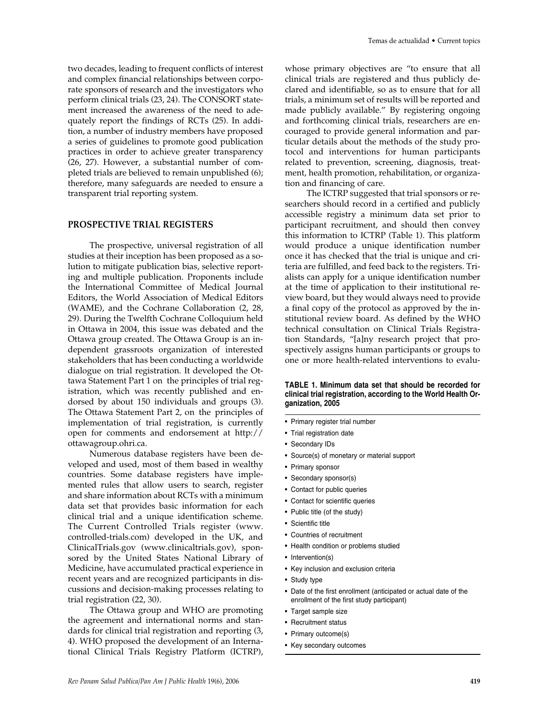two decades, leading to frequent conflicts of interest and complex financial relationships between corporate sponsors of research and the investigators who perform clinical trials (23, 24). The CONSORT statement increased the awareness of the need to adequately report the findings of RCTs (25). In addition, a number of industry members have proposed a series of guidelines to promote good publication practices in order to achieve greater transparency (26, 27). However, a substantial number of completed trials are believed to remain unpublished (6); therefore, many safeguards are needed to ensure a transparent trial reporting system.

## **PROSPECTIVE TRIAL REGISTERS**

The prospective, universal registration of all studies at their inception has been proposed as a solution to mitigate publication bias, selective reporting and multiple publication. Proponents include the International Committee of Medical Journal Editors, the World Association of Medical Editors (WAME), and the Cochrane Collaboration (2, 28, 29). During the Twelfth Cochrane Colloquium held in Ottawa in 2004, this issue was debated and the Ottawa group created. The Ottawa Group is an independent grassroots organization of interested stakeholders that has been conducting a worldwide dialogue on trial registration. It developed the Ottawa Statement Part 1 on the principles of trial registration, which was recently published and endorsed by about 150 individuals and groups (3). The Ottawa Statement Part 2, on the principles of implementation of trial registration, is currently open for comments and endorsement at http:// ottawagroup.ohri.ca.

Numerous database registers have been developed and used, most of them based in wealthy countries. Some database registers have implemented rules that allow users to search, register and share information about RCTs with a minimum data set that provides basic information for each clinical trial and a unique identification scheme. The Current Controlled Trials register (www. controlled-trials.com) developed in the UK, and ClinicalTrials.gov (www.clinicaltrials.gov), sponsored by the United States National Library of Medicine, have accumulated practical experience in recent years and are recognized participants in discussions and decision-making processes relating to trial registration (22, 30).

The Ottawa group and WHO are promoting the agreement and international norms and standards for clinical trial registration and reporting (3, 4). WHO proposed the development of an International Clinical Trials Registry Platform (ICTRP),

whose primary objectives are "to ensure that all clinical trials are registered and thus publicly declared and identifiable, so as to ensure that for all trials, a minimum set of results will be reported and made publicly available." By registering ongoing and forthcoming clinical trials, researchers are encouraged to provide general information and particular details about the methods of the study protocol and interventions for human participants related to prevention, screening, diagnosis, treatment, health promotion, rehabilitation, or organization and financing of care.

The ICTRP suggested that trial sponsors or researchers should record in a certified and publicly accessible registry a minimum data set prior to participant recruitment, and should then convey this information to ICTRP (Table 1). This platform would produce a unique identification number once it has checked that the trial is unique and criteria are fulfilled, and feed back to the registers. Trialists can apply for a unique identification number at the time of application to their institutional review board, but they would always need to provide a final copy of the protocol as approved by the institutional review board. As defined by the WHO technical consultation on Clinical Trials Registration Standards, "[a]ny research project that prospectively assigns human participants or groups to one or more health-related interventions to evalu-

#### **TABLE 1. Minimum data set that should be recorded for clinical trial registration, according to the World Health Organization, 2005**

- Primary register trial number
- Trial registration date
- Secondary IDs
- Source(s) of monetary or material support
- Primary sponsor
- Secondary sponsor(s)
- Contact for public queries
- Contact for scientific queries
- Public title (of the study)
- Scientific title
- Countries of recruitment
- Health condition or problems studied
- Intervention(s)
- Key inclusion and exclusion criteria
- Study type
- Date of the first enrollment (anticipated or actual date of the enrollment of the first study participant)
- Target sample size
- Recruitment status
- Primary outcome(s)
- Key secondary outcomes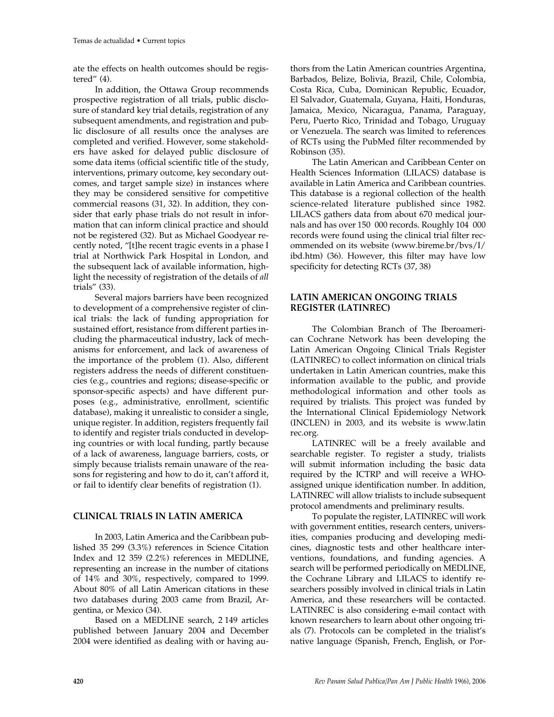ate the effects on health outcomes should be registered" (4).

In addition, the Ottawa Group recommends prospective registration of all trials, public disclosure of standard key trial details, registration of any subsequent amendments, and registration and public disclosure of all results once the analyses are completed and verified. However, some stakeholders have asked for delayed public disclosure of some data items (official scientific title of the study, interventions, primary outcome, key secondary outcomes, and target sample size) in instances where they may be considered sensitive for competitive commercial reasons (31, 32). In addition, they consider that early phase trials do not result in information that can inform clinical practice and should not be registered (32). But as Michael Goodyear recently noted, "[t]he recent tragic events in a phase I trial at Northwick Park Hospital in London, and the subsequent lack of available information, highlight the necessity of registration of the details of *all* trials" (33).

Several majors barriers have been recognized to development of a comprehensive register of clinical trials: the lack of funding appropriation for sustained effort, resistance from different parties including the pharmaceutical industry, lack of mechanisms for enforcement, and lack of awareness of the importance of the problem (1). Also, different registers address the needs of different constituencies (e.g., countries and regions; disease-specific or sponsor-specific aspects) and have different purposes (e.g., administrative, enrollment, scientific database), making it unrealistic to consider a single, unique register. In addition, registers frequently fail to identify and register trials conducted in developing countries or with local funding, partly because of a lack of awareness, language barriers, costs, or simply because trialists remain unaware of the reasons for registering and how to do it, can't afford it, or fail to identify clear benefits of registration (1).

# **CLINICAL TRIALS IN LATIN AMERICA**

In 2003, Latin America and the Caribbean published 35 299 (3.3%) references in Science Citation Index and 12 359 (2.2%) references in MEDLINE, representing an increase in the number of citations of 14% and 30%, respectively, compared to 1999. About 80% of all Latin American citations in these two databases during 2003 came from Brazil, Argentina, or Mexico (34).

Based on a MEDLINE search, 2 149 articles published between January 2004 and December 2004 were identified as dealing with or having au-

thors from the Latin American countries Argentina, Barbados, Belize, Bolivia, Brazil, Chile, Colombia, Costa Rica, Cuba, Dominican Republic, Ecuador, El Salvador, Guatemala, Guyana, Haiti, Honduras, Jamaica, Mexico, Nicaragua, Panama, Paraguay, Peru, Puerto Rico, Trinidad and Tobago, Uruguay or Venezuela. The search was limited to references of RCTs using the PubMed filter recommended by Robinson (35).

The Latin American and Caribbean Center on Health Sciences Information (LILACS) database is available in Latin America and Caribbean countries. This database is a regional collection of the health science-related literature published since 1982. LILACS gathers data from about 670 medical journals and has over 150 000 records. Roughly 104 000 records were found using the clinical trial filter recommended on its website (www.bireme.br/bvs/I/ ibd.htm) (36). However, this filter may have low specificity for detecting RCTs (37, 38)

# **LATIN AMERICAN ONGOING TRIALS REGISTER (LATINREC)**

The Colombian Branch of The Iberoamerican Cochrane Network has been developing the Latin American Ongoing Clinical Trials Register (LATINREC) to collect information on clinical trials undertaken in Latin American countries, make this information available to the public, and provide methodological information and other tools as required by trialists. This project was funded by the International Clinical Epidemiology Network (INCLEN) in 2003, and its website is www.latin rec.org.

LATINREC will be a freely available and searchable register. To register a study, trialists will submit information including the basic data required by the ICTRP and will receive a WHOassigned unique identification number. In addition, LATINREC will allow trialists to include subsequent protocol amendments and preliminary results.

To populate the register, LATINREC will work with government entities, research centers, universities, companies producing and developing medicines, diagnostic tests and other healthcare interventions, foundations, and funding agencies. A search will be performed periodically on MEDLINE, the Cochrane Library and LILACS to identify researchers possibly involved in clinical trials in Latin America, and these researchers will be contacted. LATINREC is also considering e-mail contact with known researchers to learn about other ongoing trials (7). Protocols can be completed in the trialist's native language (Spanish, French, English, or Por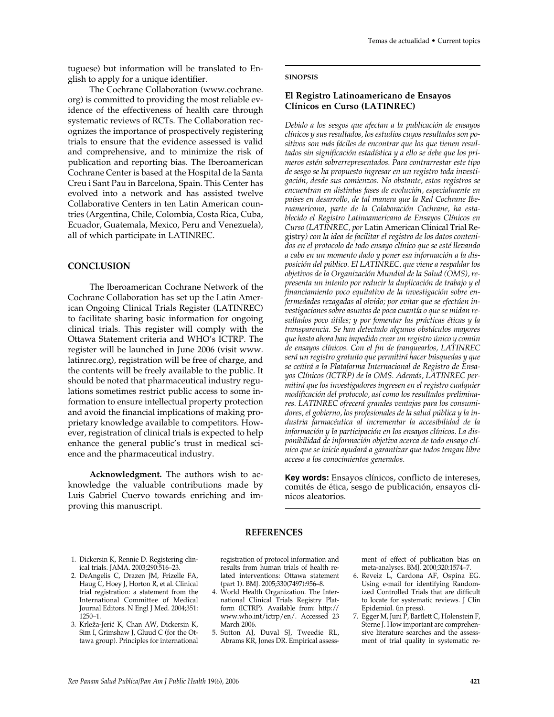tuguese) but information will be translated to English to apply for a unique identifier.

The Cochrane Collaboration (www.cochrane. org) is committed to providing the most reliable evidence of the effectiveness of health care through systematic reviews of RCTs. The Collaboration recognizes the importance of prospectively registering trials to ensure that the evidence assessed is valid and comprehensive, and to minimize the risk of publication and reporting bias. The Iberoamerican Cochrane Center is based at the Hospital de la Santa Creu i Sant Pau in Barcelona, Spain. This Center has evolved into a network and has assisted twelve Collaborative Centers in ten Latin American countries (Argentina, Chile, Colombia, Costa Rica, Cuba, Ecuador, Guatemala, Mexico, Peru and Venezuela), all of which participate in LATINREC.

## **CONCLUSION**

The Iberoamerican Cochrane Network of the Cochrane Collaboration has set up the Latin American Ongoing Clinical Trials Register (LATINREC) to facilitate sharing basic information for ongoing clinical trials. This register will comply with the Ottawa Statement criteria and WHO's ICTRP. The register will be launched in June 2006 (visit www. latinrec.org), registration will be free of charge, and the contents will be freely available to the public. It should be noted that pharmaceutical industry regulations sometimes restrict public access to some information to ensure intellectual property protection and avoid the financial implications of making proprietary knowledge available to competitors. However, registration of clinical trials is expected to help enhance the general public's trust in medical science and the pharmaceutical industry.

**Acknowledgment.** The authors wish to acknowledge the valuable contributions made by Luis Gabriel Cuervo towards enriching and improving this manuscript.

#### **SINOPSIS**

# **El Registro Latinoamericano de Ensayos Clínicos en Curso (LATINREC)**

*Debido a los sesgos que afectan a la publicación de ensayos clínicos y sus resultados, los estudios cuyos resultados son positivos son más fáciles de encontrar que los que tienen resultados sin significación estadística y a ello se debe que los primeros estén sobrerrepresentados. Para contrarrestar este tipo de sesgo se ha propuesto ingresar en un registro toda investigación, desde sus comienzos. No obstante, estos registros se encuentran en distintas fases de evolución, especialmente en países en desarrollo, de tal manera que la Red Cochrane Iberoamericana, parte de la Colaboración Cochrane, ha establecido el Registro Latinoamericano de Ensayos Clínicos en Curso (LATINREC, por* Latin American Clinical Trial Registry*) con la idea de facilitar el registro de los datos contenidos en el protocolo de todo ensayo clínico que se esté llevando a cabo en un momento dado y poner esa información a la disposición del público. El LATINREC, que viene a respaldar los objetivos de la Organización Mundial de la Salud (OMS), representa un intento por reducir la duplicación de trabajo y el financiamiento poco equitativo de la investigación sobre enfermedades rezagadas al olvido; por evitar que se efectúen investigaciones sobre asuntos de poca cuantía o que se midan resultados poco útiles; y por fomentar las prácticas éticas y la transparencia. Se han detectado algunos obstáculos mayores que hasta ahora han impedido crear un registro único y común de ensayos clínicos. Con el fin de franquearlos, LATINREC será un registro gratuito que permitirá hacer búsquedas y que se ceñirá a la Plataforma Internacional de Registro de Ensayos Clínicos (ICTRP) de la OMS. Además, LATINREC permitirá que los investigadores ingresen en el registro cualquier modificación del protocolo, así como los resultados preliminares. LATINREC ofrecerá grandes ventajas para los consumidores, el gobierno, los profesionales de la salud pública y la industria farmacéutica al incrementar la accesibilidad de la información y la participación en los ensayos clínicos. La disponibilidad de información objetiva acerca de todo ensayo clínico que se inicie ayudará a garantizar que todos tengan libre acceso a los conocimientos generados.*

**Key words:** Ensayos clínicos, conflicto de intereses, comités de ética, sesgo de publicación, ensayos clínicos aleatorios.

#### **REFERENCES**

- 1. Dickersin K, Rennie D. Registering clinical trials. JAMA. 2003;290:516–23.
- 2. DeAngelis C, Drazen JM, Frizelle FA, Haug C, Hoey J, Horton R, et al. Clinical trial registration: a statement from the International Committee of Medical Journal Editors. N Engl J Med. 2004;351: 1250–1.
- 3. Krleža-Jerić K, Chan AW, Dickersin K, Sim I, Grimshaw J, Gluud C (for the Ottawa group). Principles for international

registration of protocol information and results from human trials of health related interventions: Ottawa statement (part 1). BMJ. 2005;330(7497):956–8.

- 4. World Health Organization. The International Clinical Trials Registry Platform (ICTRP). Available from: http:// www.who.int/ictrp/en/. Accessed 23 March 2006.
- 5. Sutton AJ, Duval SJ, Tweedie RL, Abrams KR, Jones DR. Empirical assess-

ment of effect of publication bias on meta-analyses. BMJ. 2000;320:1574–7.

- 6. Reveiz L, Cardona AF, Ospina EG. Using e-mail for identifying Randomized Controlled Trials that are difficult to locate for systematic reviews. J Clin Epidemiol. (in press).
- 7. Egger M, Juni P, Bartlett C, Holenstein F, Sterne J. How important are comprehensive literature searches and the assessment of trial quality in systematic re-